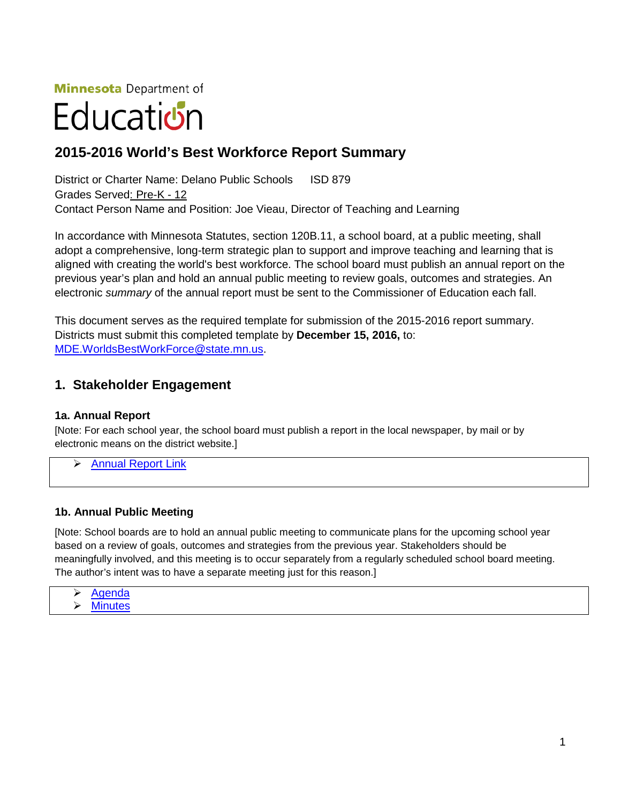**Minnesota** Department of

# Education

# **2015-2016 World's Best Workforce Report Summary**

District or Charter Name: Delano Public Schools ISD 879 Grades Served: Pre-K - 12 Contact Person Name and Position: Joe Vieau, Director of Teaching and Learning

In accordance with Minnesota Statutes, section 120B.11, a school board, at a public meeting, shall adopt a comprehensive, long-term strategic plan to support and improve teaching and learning that is aligned with creating the world's best workforce. The school board must publish an annual report on the previous year's plan and hold an annual public meeting to review goals, outcomes and strategies. An electronic *summary* of the annual report must be sent to the Commissioner of Education each fall.

This document serves as the required template for submission of the 2015-2016 report summary. Districts must submit this completed template by **December 15, 2016,** to: [MDE.WorldsBestWorkForce@state.mn.us.](mailto:MDE.WorldsBestWorkForce@state.mn.us)

## **1. Stakeholder Engagement**

#### **1a. Annual Report**

[Note: For each school year, the school board must publish a report in the local newspaper, by mail or by electronic means on the district website.]

[Annual Report](http://www.delano.k12.mn.us/district/miscellaneous/worlds-best-workforce-wbwf) Link

#### **1b. Annual Public Meeting**

[Note: School boards are to hold an annual public meeting to communicate plans for the upcoming school year based on a review of goals, outcomes and strategies from the previous year. Stakeholders should be meaningfully involved, and this meeting is to occur separately from a regularly scheduled school board meeting. The author's intent was to have a separate meeting just for this reason.]

| ↘ | <b>Agenda</b>  |  |
|---|----------------|--|
| ↘ | <b>Minutes</b> |  |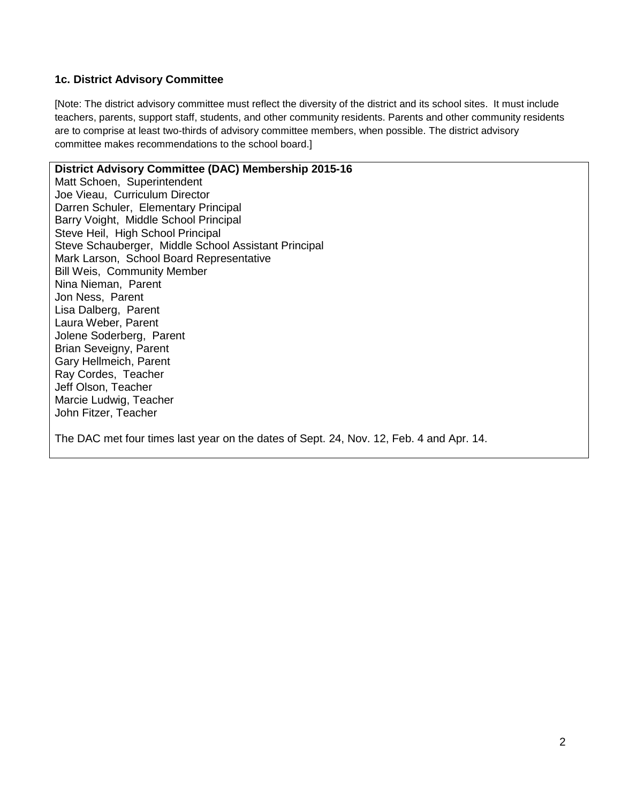#### **1c. District Advisory Committee**

[Note: The district advisory committee must reflect the diversity of the district and its school sites. It must include teachers, parents, support staff, students, and other community residents. Parents and other community residents are to comprise at least two-thirds of advisory committee members, when possible. The district advisory committee makes recommendations to the school board.]

**District Advisory Committee (DAC) Membership 2015-16** Matt Schoen, Superintendent Joe Vieau, Curriculum Director Darren Schuler, Elementary Principal Barry Voight, Middle School Principal Steve Heil, High School Principal Steve Schauberger, Middle School Assistant Principal Mark Larson, School Board Representative Bill Weis, Community Member Nina Nieman, Parent Jon Ness, Parent Lisa Dalberg, Parent Laura Weber, Parent Jolene Soderberg, Parent Brian Seveigny, Parent Gary Hellmeich, Parent Ray Cordes, Teacher Jeff Olson, Teacher Marcie Ludwig, Teacher John Fitzer, Teacher

The DAC met four times last year on the dates of Sept. 24, Nov. 12, Feb. 4 and Apr. 14.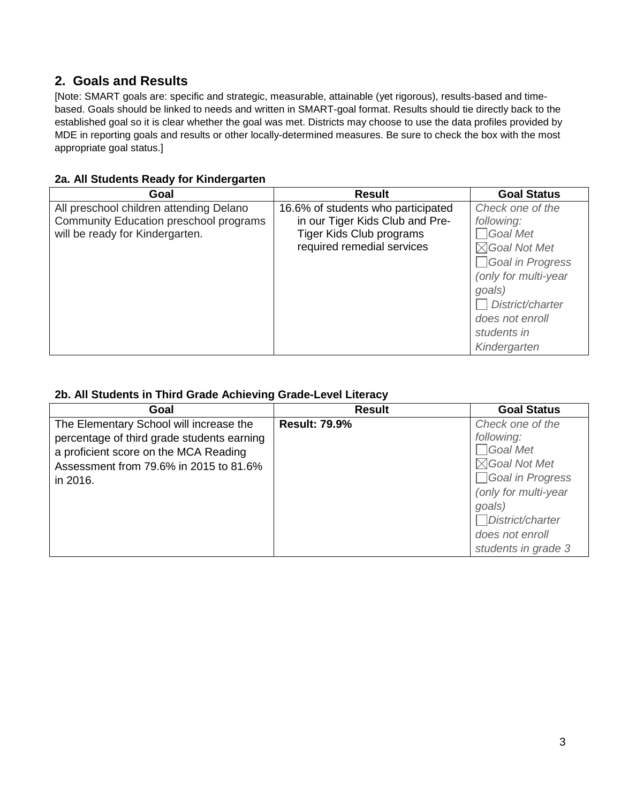## **2. Goals and Results**

[Note: SMART goals are: specific and strategic, measurable, attainable (yet rigorous), results-based and timebased. Goals should be linked to needs and written in SMART-goal format. Results should tie directly back to the established goal so it is clear whether the goal was met. Districts may choose to use the data profiles provided by MDE in reporting goals and results or other locally-determined measures. Be sure to check the box with the most appropriate goal status.]

## **2a. All Students Ready for Kindergarten**

| Goal                                          | <b>Result</b>                      | <b>Goal Status</b>       |
|-----------------------------------------------|------------------------------------|--------------------------|
| All preschool children attending Delano       | 16.6% of students who participated | Check one of the         |
| <b>Community Education preschool programs</b> | in our Tiger Kids Club and Pre-    | following:               |
| will be ready for Kindergarten.               | <b>Tiger Kids Club programs</b>    | $\Box$ Goal Met          |
|                                               | required remedial services         | $\boxtimes$ Goal Not Met |
|                                               |                                    | Goal in Progress         |
|                                               |                                    | (only for multi-year     |
|                                               |                                    | goals)                   |
|                                               |                                    | District/charter         |
|                                               |                                    | does not enroll          |
|                                               |                                    | students in              |
|                                               |                                    | Kindergarten             |

## **2b. All Students in Third Grade Achieving Grade-Level Literacy**

| Goal                                       | <b>Result</b>        | <b>Goal Status</b>       |
|--------------------------------------------|----------------------|--------------------------|
| The Elementary School will increase the    | <b>Result: 79.9%</b> | Check one of the         |
| percentage of third grade students earning |                      | following:               |
| a proficient score on the MCA Reading      |                      | $\bigcap$ Goal Met       |
| Assessment from 79.6% in 2015 to 81.6%     |                      | $\boxtimes$ Goal Not Met |
| in 2016.                                   |                      | Goal in Progress         |
|                                            |                      | (only for multi-year     |
|                                            |                      | goals)                   |
|                                            |                      | District/charter         |
|                                            |                      | does not enroll          |
|                                            |                      | students in grade 3      |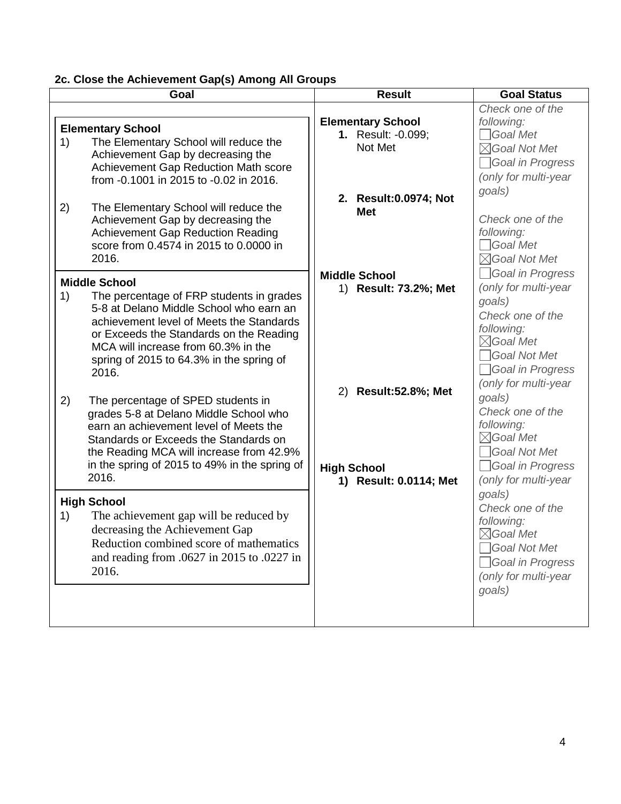# **2c. Close the Achievement Gap(s) Among All Groups**

| Goal                                                                                                                                                                                                                                                                                                 | <b>Result</b>                                                        | <b>Goal Status</b>                                                                                                                                                              |
|------------------------------------------------------------------------------------------------------------------------------------------------------------------------------------------------------------------------------------------------------------------------------------------------------|----------------------------------------------------------------------|---------------------------------------------------------------------------------------------------------------------------------------------------------------------------------|
| <b>Elementary School</b><br>1)<br>The Elementary School will reduce the<br>Achievement Gap by decreasing the                                                                                                                                                                                         | <b>Elementary School</b><br>1. Result: -0.099;<br>Not Met            | Check one of the<br>following:<br>Goal Met<br>$\boxtimes$ Goal Not Met                                                                                                          |
| Achievement Gap Reduction Math score<br>from -0.1001 in 2015 to -0.02 in 2016.                                                                                                                                                                                                                       | 2. Result: 0.0974; Not                                               | $\Box$ Goal in Progress<br>(only for multi-year<br>goals)                                                                                                                       |
| The Elementary School will reduce the<br>2)<br>Achievement Gap by decreasing the<br><b>Achievement Gap Reduction Reading</b><br>score from 0.4574 in 2015 to 0.0000 in<br>2016.                                                                                                                      | <b>Met</b>                                                           | Check one of the<br>following:<br>Goal Met<br>$\boxtimes$ Goal Not Met                                                                                                          |
| <b>Middle School</b><br>The percentage of FRP students in grades<br>1)<br>5-8 at Delano Middle School who earn an<br>achievement level of Meets the Standards<br>or Exceeds the Standards on the Reading<br>MCA will increase from 60.3% in the<br>spring of 2015 to 64.3% in the spring of<br>2016. | <b>Middle School</b><br>1) Result: 73.2%; Met                        | $\Box$ Goal in Progress<br>(only for multi-year<br>goals)<br>Check one of the<br>following:<br>$\boxtimes$ Goal Met<br>Goal Not Met<br>Goal in Progress<br>(only for multi-year |
| 2)<br>The percentage of SPED students in<br>grades 5-8 at Delano Middle School who<br>earn an achievement level of Meets the<br>Standards or Exceeds the Standards on<br>the Reading MCA will increase from 42.9%<br>in the spring of 2015 to 49% in the spring of<br>2016.                          | 2) Result:52.8%; Met<br><b>High School</b><br>1) Result: 0.0114; Met | goals)<br>Check one of the<br>following:<br>$\boxtimes$ Goal Met<br>Goal Not Met<br>Goal in Progress<br>(only for multi-year                                                    |
| <b>High School</b><br>The achievement gap will be reduced by<br>1)<br>decreasing the Achievement Gap<br>Reduction combined score of mathematics<br>and reading from .0627 in 2015 to .0227 in<br>2016.                                                                                               |                                                                      | goals)<br>Check one of the<br>following:<br>$\boxtimes$ Goal Met<br>Goal Not Met<br>Goal in Progress<br>(only for multi-year<br>goals)                                          |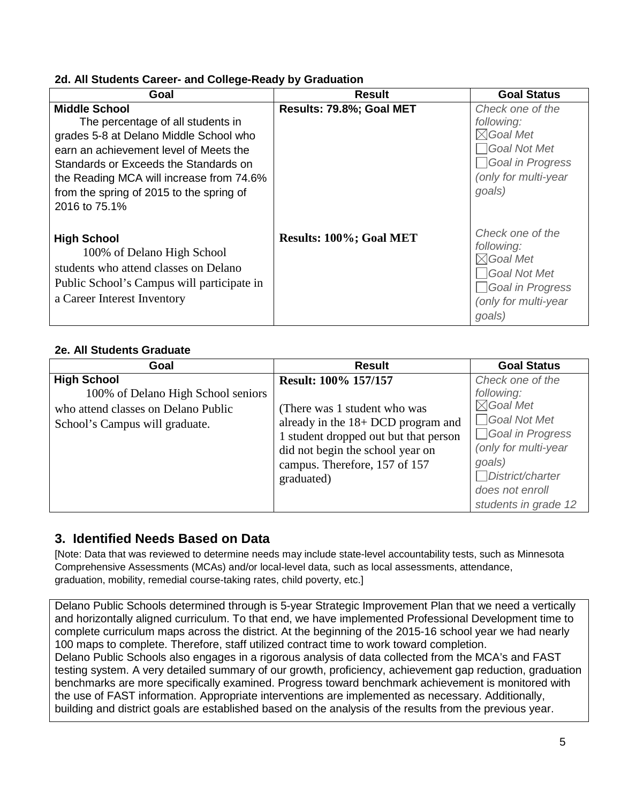## **2d. All Students Career- and College-Ready by Graduation**

| Goal                                                                                                                                                                                                                                                                                            | <b>Result</b>                  | <b>Goal Status</b>                                                                                                           |
|-------------------------------------------------------------------------------------------------------------------------------------------------------------------------------------------------------------------------------------------------------------------------------------------------|--------------------------------|------------------------------------------------------------------------------------------------------------------------------|
| <b>Middle School</b><br>The percentage of all students in<br>grades 5-8 at Delano Middle School who<br>earn an achievement level of Meets the<br>Standards or Exceeds the Standards on<br>the Reading MCA will increase from 74.6%<br>from the spring of 2015 to the spring of<br>2016 to 75.1% | Results: 79.8%; Goal MET       | Check one of the<br>following:<br>$\boxtimes$ Goal Met<br>Goal Not Met<br>Goal in Progress<br>(only for multi-year<br>goals) |
| <b>High School</b><br>100% of Delano High School<br>students who attend classes on Delano<br>Public School's Campus will participate in<br>a Career Interest Inventory                                                                                                                          | <b>Results: 100%; Goal MET</b> | Check one of the<br>following:<br>$\boxtimes$ Goal Met<br>Goal Not Met<br>Goal in Progress<br>(only for multi-year<br>goals) |

## **2e. All Students Graduate**

| Goal                                                                                                                              | <b>Result</b>                                                                                                                                                                                                             | <b>Goal Status</b>                                                                                                                                                         |
|-----------------------------------------------------------------------------------------------------------------------------------|---------------------------------------------------------------------------------------------------------------------------------------------------------------------------------------------------------------------------|----------------------------------------------------------------------------------------------------------------------------------------------------------------------------|
| <b>High School</b><br>100% of Delano High School seniors<br>who attend classes on Delano Public<br>School's Campus will graduate. | Result: 100% 157/157<br>(There was 1 student who was<br>already in the $18 + DCD$ program and<br>1 student dropped out but that person<br>did not begin the school year on<br>campus. Therefore, 157 of 157<br>graduated) | Check one of the<br>following:<br>$\boxtimes$ Goal Met<br>$\Box$ Goal Not Met<br>Goal in Progress<br>(only for multi-year<br>goals)<br>District/charter<br>does not enroll |
|                                                                                                                                   |                                                                                                                                                                                                                           | students in grade 12                                                                                                                                                       |

## **3. Identified Needs Based on Data**

[Note: Data that was reviewed to determine needs may include state-level accountability tests, such as Minnesota Comprehensive Assessments (MCAs) and/or local-level data, such as local assessments, attendance, graduation, mobility, remedial course-taking rates, child poverty, etc.]

Delano Public Schools determined through is 5-year Strategic Improvement Plan that we need a vertically and horizontally aligned curriculum. To that end, we have implemented Professional Development time to complete curriculum maps across the district. At the beginning of the 2015-16 school year we had nearly 100 maps to complete. Therefore, staff utilized contract time to work toward completion. Delano Public Schools also engages in a rigorous analysis of data collected from the MCA's and FAST testing system. A very detailed summary of our growth, proficiency, achievement gap reduction, graduation benchmarks are more specifically examined. Progress toward benchmark achievement is monitored with the use of FAST information. Appropriate interventions are implemented as necessary. Additionally, building and district goals are established based on the analysis of the results from the previous year.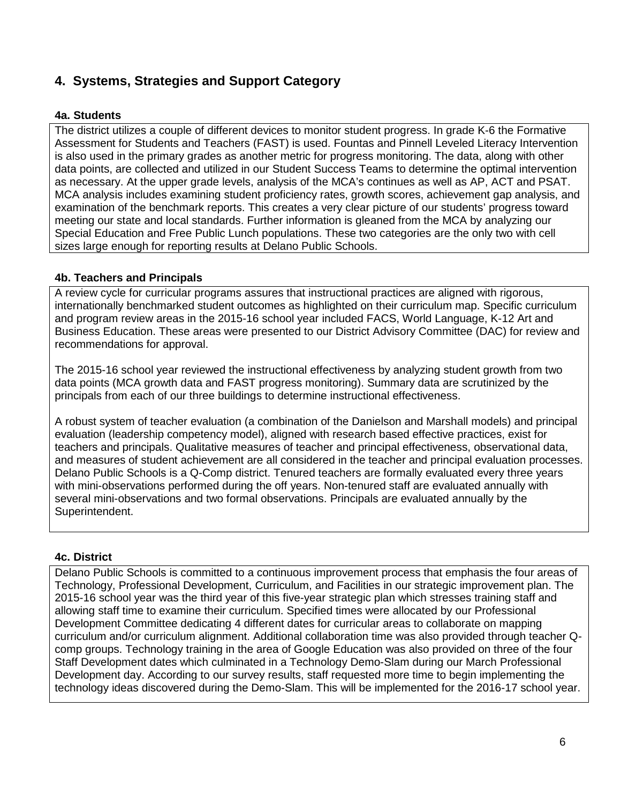## **4. Systems, Strategies and Support Category**

## **4a. Students**

The district utilizes a couple of different devices to monitor student progress. In grade K-6 the Formative Assessment for Students and Teachers (FAST) is used. Fountas and Pinnell Leveled Literacy Intervention is also used in the primary grades as another metric for progress monitoring. The data, along with other data points, are collected and utilized in our Student Success Teams to determine the optimal intervention as necessary. At the upper grade levels, analysis of the MCA's continues as well as AP, ACT and PSAT. MCA analysis includes examining student proficiency rates, growth scores, achievement gap analysis, and examination of the benchmark reports. This creates a very clear picture of our students' progress toward meeting our state and local standards. Further information is gleaned from the MCA by analyzing our Special Education and Free Public Lunch populations. These two categories are the only two with cell sizes large enough for reporting results at Delano Public Schools.

## **4b. Teachers and Principals**

A review cycle for curricular programs assures that instructional practices are aligned with rigorous, internationally benchmarked student outcomes as highlighted on their curriculum map. Specific curriculum and program review areas in the 2015-16 school year included FACS, World Language, K-12 Art and Business Education. These areas were presented to our District Advisory Committee (DAC) for review and recommendations for approval.

The 2015-16 school year reviewed the instructional effectiveness by analyzing student growth from two data points (MCA growth data and FAST progress monitoring). Summary data are scrutinized by the principals from each of our three buildings to determine instructional effectiveness.

A robust system of teacher evaluation (a combination of the Danielson and Marshall models) and principal evaluation (leadership competency model), aligned with research based effective practices, exist for teachers and principals. Qualitative measures of teacher and principal effectiveness, observational data, and measures of student achievement are all considered in the teacher and principal evaluation processes. Delano Public Schools is a Q-Comp district. Tenured teachers are formally evaluated every three years with mini-observations performed during the off years. Non-tenured staff are evaluated annually with several mini-observations and two formal observations. Principals are evaluated annually by the Superintendent.

#### **4c. District**

Delano Public Schools is committed to a continuous improvement process that emphasis the four areas of Technology, Professional Development, Curriculum, and Facilities in our strategic improvement plan. The 2015-16 school year was the third year of this five-year strategic plan which stresses training staff and allowing staff time to examine their curriculum. Specified times were allocated by our Professional Development Committee dedicating 4 different dates for curricular areas to collaborate on mapping curriculum and/or curriculum alignment. Additional collaboration time was also provided through teacher Qcomp groups. Technology training in the area of Google Education was also provided on three of the four Staff Development dates which culminated in a Technology Demo-Slam during our March Professional Development day. According to our survey results, staff requested more time to begin implementing the technology ideas discovered during the Demo-Slam. This will be implemented for the 2016-17 school year.